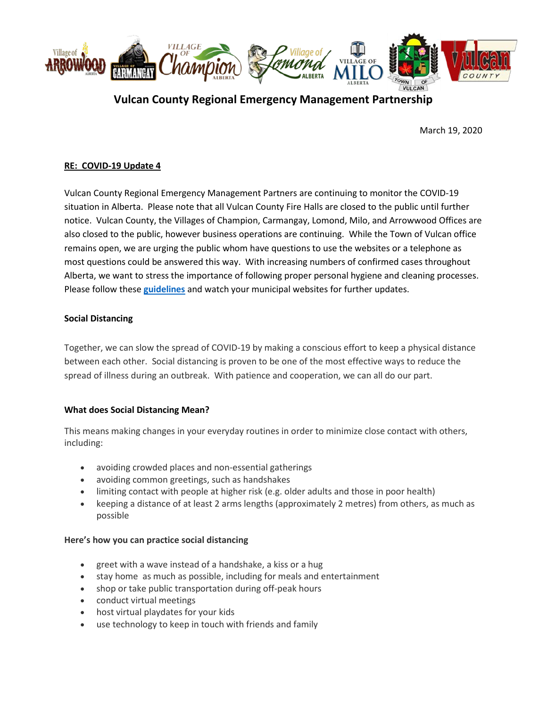

# **Vulcan County Regional Emergency Management Partnership**

March 19, 2020

## **RE: COVID-19 Update 4**

Vulcan County Regional Emergency Management Partners are continuing to monitor the COVID-19 situation in Alberta. Please note that all Vulcan County Fire Halls are closed to the public until further notice. Vulcan County, the Villages of Champion, Carmangay, Lomond, Milo, and Arrowwood Offices are also closed to the public, however business operations are continuing. While the Town of Vulcan office remains open, we are urging the public whom have questions to use the websites or a telephone as most questions could be answered this way. With increasing numbers of confirmed cases throughout Alberta, we want to stress the importance of following proper personal hygiene and cleaning processes. Please follow these **[guidelines](https://www.albertahealthservices.ca/topics/Page16997.aspx#sign)** and watch your municipal websites for further updates.

### **Social Distancing**

Together, we can slow the spread of COVID-19 by making a conscious effort to keep a physical distance between each other. Social distancing is proven to be one of the most effective ways to reduce the spread of illness during an outbreak. With patience and cooperation, we can all do our part.

#### **What does Social Distancing Mean?**

This means making changes in your everyday routines in order to minimize close contact with others, including:

- avoiding crowded places and non-essential gatherings
- avoiding common greetings, such as handshakes
- limiting contact with people at higher risk (e.g. older adults and those in poor health)
- keeping a distance of at least 2 arms lengths (approximately 2 metres) from others, as much as possible

#### **Here's how you can practice social distancing**

- greet with a wave instead of a handshake, a kiss or a hug
- stay home as much as possible, including for meals and entertainment
- shop or take public transportation during off-peak hours
- conduct virtual meetings
- host virtual playdates for your kids
- use technology to keep in touch with friends and family